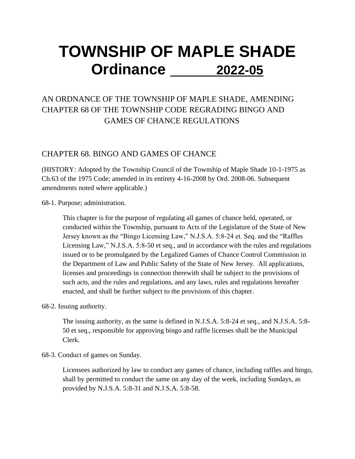# **TOWNSHIP OF MAPLE SHADE Ordinance 2022-05**

## AN ORDNANCE OF THE TOWNSHIP OF MAPLE SHADE, AMENDING CHAPTER 68 OF THE TOWNSHIP CODE REGRADING BINGO AND GAMES OF CHANCE REGULATIONS

## CHAPTER 68. BINGO AND GAMES OF CHANCE

(HISTORY: Adopted by the Township Council of the Township of Maple Shade 10-1-1975 as Ch.63 of the 1975 Code; amended in its entirety 4-16-2008 by Ord. 2008-06. Subsequent amendments noted where applicable.)

68-1. Purpose; administration.

This chapter is for the purpose of regulating all games of chance held, operated, or conducted within the Township, pursuant to Acts of the Legislature of the State of New Jersey known as the "Bingo Licensing Law," N.J.S.A. 5:8-24 et. Seq. and the "Raffles Licensing Law," N.J.S.A. 5:8-50 et seq., and in accordance with the rules and regulations issued or to be promulgated by the Legalized Games of Chance Control Commission in the Department of Law and Public Safety of the State of New Jersey. All applications, licenses and proceedings in connection therewith shall be subject to the provisions of such acts, and the rules and regulations, and any laws, rules and regulations hereafter enacted, and shall be further subject to the provisions of this chapter.

#### 68-2. Issuing authority.

The issuing authority, as the same is defined in N.J.S.A. 5:8-24 et seq., and N.J.S.A. 5:8- 50 et seq., responsible for approving bingo and raffle licenses shall be the Municipal Clerk.

#### 68-3. Conduct of games on Sunday.

Licensees authorized by law to conduct any games of chance, including raffles and bingo, shall by permitted to conduct the same on any day of the week, including Sundays, as provided by N.J.S.A. 5:8-31 and N.J.S.A. 5:8-58.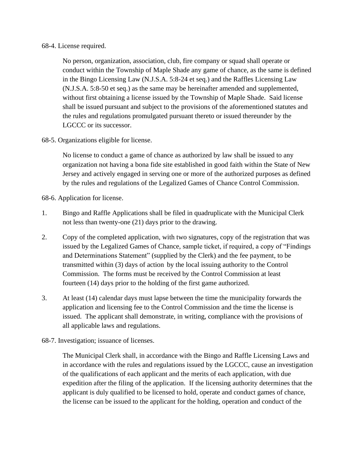#### 68-4. License required.

No person, organization, association, club, fire company or squad shall operate or conduct within the Township of Maple Shade any game of chance, as the same is defined in the Bingo Licensing Law (N.J.S.A. 5:8-24 et seq.) and the Raffles Licensing Law (N.J.S.A. 5:8-50 et seq.) as the same may be hereinafter amended and supplemented, without first obtaining a license issued by the Township of Maple Shade. Said license shall be issued pursuant and subject to the provisions of the aforementioned statutes and the rules and regulations promulgated pursuant thereto or issued thereunder by the LGCCC or its successor.

#### 68-5. Organizations eligible for license.

No license to conduct a game of chance as authorized by law shall be issued to any organization not having a bona fide site established in good faith within the State of New Jersey and actively engaged in serving one or more of the authorized purposes as defined by the rules and regulations of the Legalized Games of Chance Control Commission.

68-6. Application for license.

- 1. Bingo and Raffle Applications shall be filed in quadruplicate with the Municipal Clerk not less than twenty-one (21) days prior to the drawing.
- 2. Copy of the completed application, with two signatures, copy of the registration that was issued by the Legalized Games of Chance, sample ticket, if required, a copy of "Findings and Determinations Statement" (supplied by the Clerk) and the fee payment, to be transmitted within (3) days of action by the local issuing authority to the Control Commission. The forms must be received by the Control Commission at least fourteen (14) days prior to the holding of the first game authorized.
- 3. At least (14) calendar days must lapse between the time the municipality forwards the application and licensing fee to the Control Commission and the time the license is issued. The applicant shall demonstrate, in writing, compliance with the provisions of all applicable laws and regulations.
- 68-7. Investigation; issuance of licenses.

The Municipal Clerk shall, in accordance with the Bingo and Raffle Licensing Laws and in accordance with the rules and regulations issued by the LGCCC, cause an investigation of the qualifications of each applicant and the merits of each application, with due expedition after the filing of the application. If the licensing authority determines that the applicant is duly qualified to be licensed to hold, operate and conduct games of chance, the license can be issued to the applicant for the holding, operation and conduct of the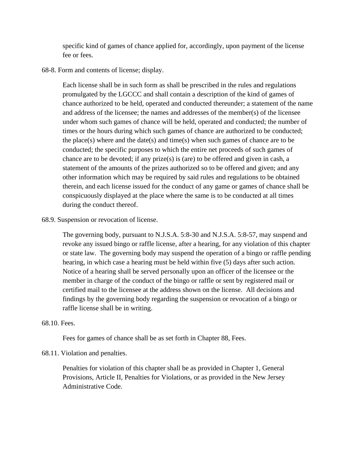specific kind of games of chance applied for, accordingly, upon payment of the license fee or fees.

68-8. Form and contents of license; display.

Each license shall be in such form as shall be prescribed in the rules and regulations promulgated by the LGCCC and shall contain a description of the kind of games of chance authorized to be held, operated and conducted thereunder; a statement of the name and address of the licensee; the names and addresses of the member(s) of the licensee under whom such games of chance will be held, operated and conducted; the number of times or the hours during which such games of chance are authorized to be conducted; the place(s) where and the date(s) and time(s) when such games of chance are to be conducted; the specific purposes to which the entire net proceeds of such games of chance are to be devoted; if any prize(s) is (are) to be offered and given in cash, a statement of the amounts of the prizes authorized so to be offered and given; and any other information which may be required by said rules and regulations to be obtained therein, and each license issued for the conduct of any game or games of chance shall be conspicuously displayed at the place where the same is to be conducted at all times during the conduct thereof.

68.9. Suspension or revocation of license.

The governing body, pursuant to N.J.S.A. 5:8-30 and N.J.S.A. 5:8-57, may suspend and revoke any issued bingo or raffle license, after a hearing, for any violation of this chapter or state law. The governing body may suspend the operation of a bingo or raffle pending hearing, in which case a hearing must be held within five (5) days after such action. Notice of a hearing shall be served personally upon an officer of the licensee or the member in charge of the conduct of the bingo or raffle or sent by registered mail or certified mail to the licensee at the address shown on the license. All decisions and findings by the governing body regarding the suspension or revocation of a bingo or raffle license shall be in writing.

#### 68.10. Fees.

Fees for games of chance shall be as set forth in Chapter 88, Fees.

#### 68.11. Violation and penalties.

Penalties for violation of this chapter shall be as provided in Chapter 1, General Provisions, Article II, Penalties for Violations, or as provided in the New Jersey Administrative Code.